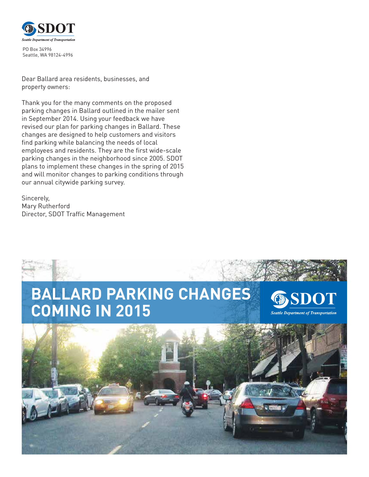

PO Box 34996 Seattle, WA 98124-4996

Dear Ballard area residents, businesses, and property owners:

Thank you for the many comments on the proposed parking changes in Ballard outlined in the mailer sent in September 2014. Using your feedback we have revised our plan for parking changes in Ballard. These changes are designed to help customers and visitors find parking while balancing the needs of local employees and residents. They are the first wide-scale parking changes in the neighborhood since 2005. SDOT plans to implement these changes in the spring of 2015 and will monitor changes to parking conditions through our annual citywide parking survey.

Sincerely, Mary Rutherford Director, SDOT Traffic Management